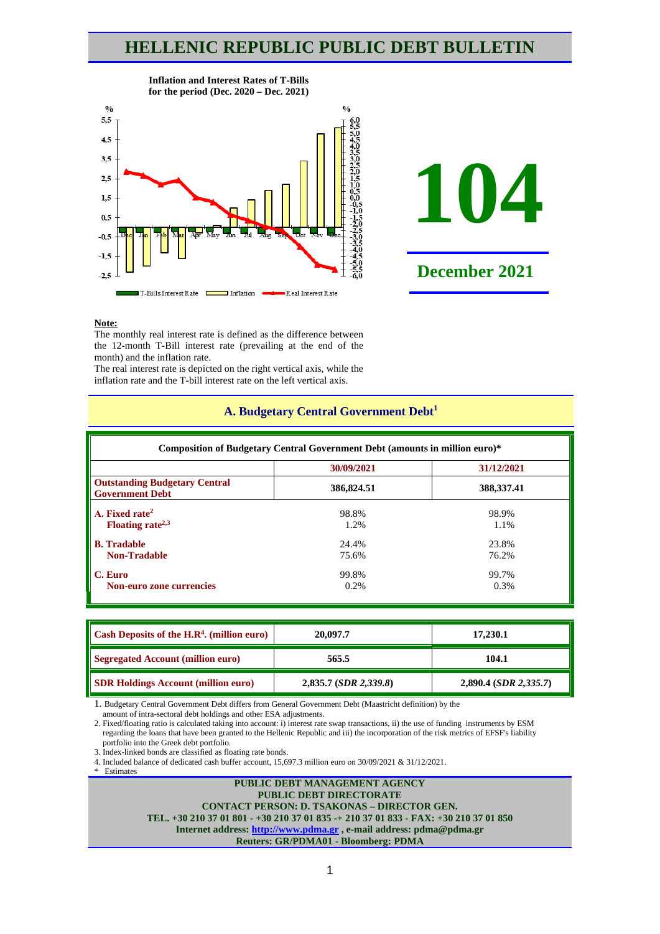# **HELLENIC REPUBLIC PUBLIC DEBT BULLETIN**





#### **Note:**

The monthly real interest rate is defined as the difference between the 12-month T-Bill interest rate (prevailing at the end of the month) and the inflation rate.

The real interest rate is depicted on the right vertical axis, while the inflation rate and the T-bill interest rate on the left vertical axis.

|                                                                         | Composition of Budgetary Central Government Debt (amounts in million euro)* |                |  |  |  |  |  |  |
|-------------------------------------------------------------------------|-----------------------------------------------------------------------------|----------------|--|--|--|--|--|--|
|                                                                         | 30/09/2021                                                                  | 31/12/2021     |  |  |  |  |  |  |
| <b>Outstanding Budgetary Central</b><br><b>Government Debt</b>          | 386,824.51                                                                  | 388, 337. 41   |  |  |  |  |  |  |
| A. Fixed rate <sup>2</sup><br>Floating rate <sup><math>2,3</math></sup> | 98.8%<br>1.2%                                                               | 98.9%<br>1.1%  |  |  |  |  |  |  |
| <b>B.</b> Tradable<br><b>Non-Tradable</b>                               | 24.4%<br>75.6%                                                              | 23.8%<br>76.2% |  |  |  |  |  |  |
| C. Euro<br>Non-euro zone currencies                                     | 99.8%<br>$0.2\%$                                                            | 99.7%<br>0.3%  |  |  |  |  |  |  |

## **A. Budgetary Central Government Debt1**

| Cash Deposits of the H.R <sup>4</sup> . (million euro) | 20,097.7              | 17,230.1              |  |
|--------------------------------------------------------|-----------------------|-----------------------|--|
| <b>Segregated Account (million euro)</b>               | 565.5                 | 104.1                 |  |
| <b>SDR Holdings Account (million euro)</b>             | 2,835.7 (SDR 2,339.8) | 2,890.4 (SDR 2,335.7) |  |

1. Budgetary Central Government Debt differs from General Government Debt (Maastricht definition) by the amount of intra-sectoral debt holdings and other ESA adjustments.

2. Fixed/floating ratio is calculated taking into account: i) interest rate swap transactions, ii) the use of funding instruments by ESM regarding the loans that have been granted to the Hellenic Republic and iii) the incorporation of the risk metrics of EFSF's liability portfolio into the Greek debt portfolio.

3. Index-linked bonds are classified as floating rate bonds.

4. Included balance of dedicated cash buffer account, 15,697.3 million euro οn 30/09/2021 & 31/12/2021.

\* Estimates

**PUBLIC DEBT MANAGEMENT AGENCY PUBLIC DEBT DIRECTORATE CONTACT PERSON: D. TSAKONAS – DIRECTOR GEN. TEL. +30 210 37 01 801 - +30 210 37 01 835 -+ 210 37 01 833 - FAX: +30 210 37 01 850 Internet address: [http://www.pdma.gr](http://www.pdma.gr/) , e-mail address: pdma@pdma.gr Reuters: GR/PDMA01 - Bloomberg: PDMA**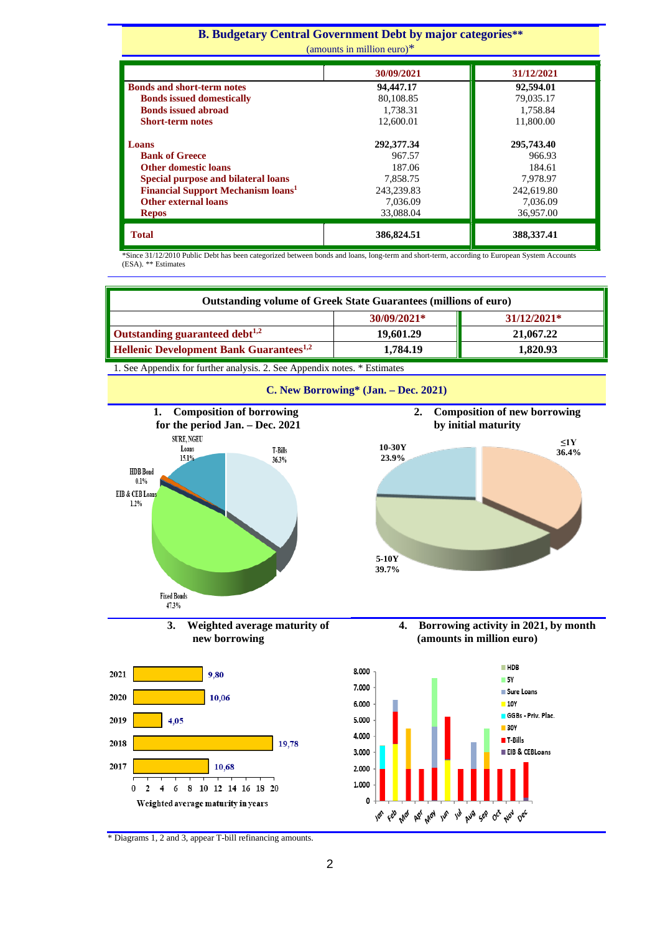#### **Β. Budgetary Central Government Debt by major categories\*\***  $_{\text{units in million euro}}$ <sup>\*</sup>

| amounts in nimion <del>c</del> ulo)                  |            |             |  |  |  |  |
|------------------------------------------------------|------------|-------------|--|--|--|--|
|                                                      | 30/09/2021 | 31/12/2021  |  |  |  |  |
| <b>Bonds and short-term notes</b>                    | 94,447.17  | 92,594.01   |  |  |  |  |
| <b>Bonds issued domestically</b>                     | 80,108.85  | 79,035.17   |  |  |  |  |
| <b>Bonds issued abroad</b>                           | 1.738.31   | 1,758.84    |  |  |  |  |
| <b>Short-term notes</b>                              | 12,600.01  | 11,800.00   |  |  |  |  |
|                                                      |            |             |  |  |  |  |
| Loans                                                | 292,377.34 | 295,743.40  |  |  |  |  |
| <b>Bank of Greece</b>                                | 967.57     | 966.93      |  |  |  |  |
| <b>Other domestic loans</b>                          | 187.06     | 184.61      |  |  |  |  |
| <b>Special purpose and bilateral loans</b>           | 7,858.75   | 7,978.97    |  |  |  |  |
| <b>Financial Support Mechanism loans<sup>1</sup></b> | 243,239.83 | 242,619.80  |  |  |  |  |
| Other external loans                                 | 7,036.09   | 7,036.09    |  |  |  |  |
| <b>Repos</b>                                         | 33,088.04  | 36,957.00   |  |  |  |  |
| <b>Total</b>                                         | 386,824.51 | 388, 337.41 |  |  |  |  |

\*Since 31/12/2010 Public Debt has been categorized between bonds and loans, long-term and short-term, according to European System Accounts (ESA). \*\* Estimates

| Outstanding volume of Greek State Guarantees (millions of euro) |           |           |  |  |  |
|-----------------------------------------------------------------|-----------|-----------|--|--|--|
| 30/09/2021*<br>$31/12/2021*$                                    |           |           |  |  |  |
| <b>Outstanding guaranteed debt</b> <sup>1,2</sup>               | 19,601.29 | 21,067.22 |  |  |  |
| Hellenic Development Bank Guarantees <sup>1,2</sup>             | 1.820.93  |           |  |  |  |

1. See Appendix for further analysis. 2. See Appendix notes. \* Estimates



**C. New Borrowing\* (Jan. – Dec. 2021)**









\* Diagrams 1, 2 and 3, appear T-bill refinancing amounts.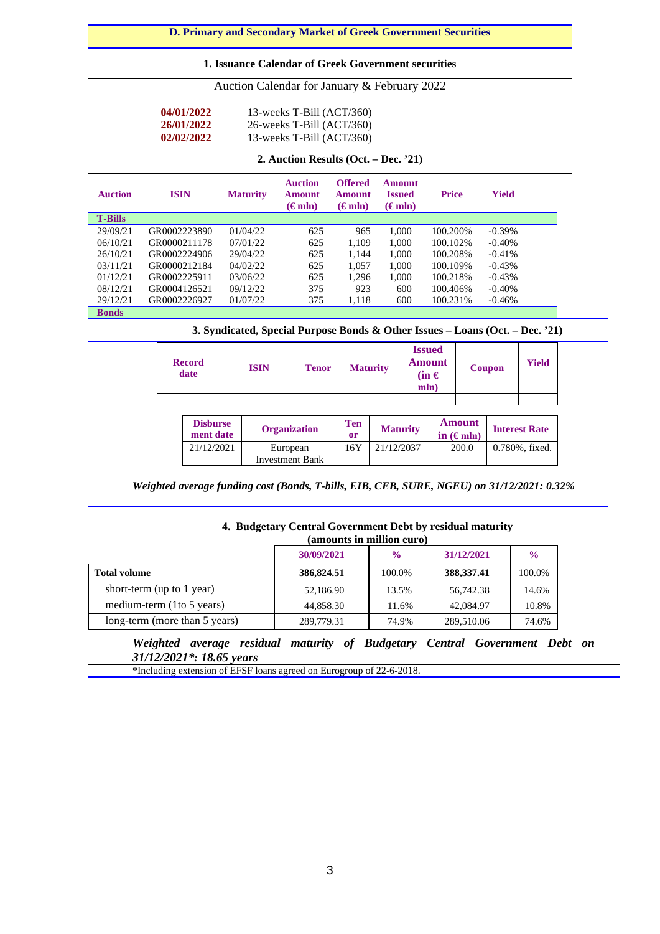### **D. Primary and Secondary Market of Greek Government Securities**

#### **1. Issuance Calendar of Greek Government securities**

#### Auction Calendar for January & February 2022

| 04/01/2022 | 13-weeks T-Bill $(ACT/360)$ |
|------------|-----------------------------|
| 26/01/2022 | 26-weeks T-Bill $(ACT/360)$ |
| 02/02/2022 | 13-weeks T-Bill $(ACT/360)$ |

#### **2. Auction Results (Oct. – Dec. '21)**

| <b>Auction</b> | <b>ISIN</b>  | <b>Maturity</b> | <b>Auction</b><br><b>Amount</b><br>$(\epsilon m \ln)$ | <b>Offered</b><br>Amount<br>$(\epsilon mln)$ | Amount<br><b>Issued</b><br>$(\epsilon m \ln)$ | <b>Price</b> | <b>Yield</b> |  |
|----------------|--------------|-----------------|-------------------------------------------------------|----------------------------------------------|-----------------------------------------------|--------------|--------------|--|
| <b>T-Bills</b> |              |                 |                                                       |                                              |                                               |              |              |  |
| 29/09/21       | GR0002223890 | 01/04/22        | 625                                                   | 965                                          | 1.000                                         | 100.200%     | $-0.39%$     |  |
| 06/10/21       | GR0000211178 | 07/01/22        | 625                                                   | 1,109                                        | 1.000                                         | 100.102%     | $-0.40%$     |  |
| 26/10/21       | GR0002224906 | 29/04/22        | 625                                                   | 1.144                                        | 1,000                                         | 100.208%     | $-0.41%$     |  |
| 03/11/21       | GR0000212184 | 04/02/22        | 625                                                   | 1.057                                        | 1.000                                         | 100.109%     | $-0.43%$     |  |
| 01/12/21       | GR0002225911 | 03/06/22        | 625                                                   | 1.296                                        | 1.000                                         | 100.218%     | $-0.43%$     |  |
| 08/12/21       | GR0004126521 | 09/12/22        | 375                                                   | 923                                          | 600                                           | 100.406%     | $-0.40%$     |  |
| 29/12/21       | GR0002226927 | 01/07/22        | 375                                                   | 1,118                                        | 600                                           | 100.231%     | $-0.46%$     |  |
| <b>Bonds</b>   |              |                 |                                                       |                                              |                                               |              |              |  |

#### **3. Syndicated, Special Purpose Bonds & Other Issues – Loans (Oct. – Dec. '21)**

| <b>Record</b><br>date | ISIN | <b>Tenor</b> | <b>Maturity</b> | <b>Issued</b><br><b>Amount</b><br>$(in \in$<br>mln) | <b>Coupon</b> | <b>Yield</b> |
|-----------------------|------|--------------|-----------------|-----------------------------------------------------|---------------|--------------|
|                       |      |              |                 |                                                     |               |              |

| <b>Disburse</b><br>ment date | <b>Organization</b>                | <b>Ten</b><br>or | <b>Maturity</b> | <b>Amount</b><br>in $(\epsilon m)$ | <b>Interest Rate</b> |
|------------------------------|------------------------------------|------------------|-----------------|------------------------------------|----------------------|
| 21/12/2021                   | European<br><b>Investment Bank</b> | 16Y              | 21/12/2037      | 200.0                              | 0.780%, fixed.       |

#### *Weighted average funding cost (Bonds, T-bills, EIB, CEB, SURE, NGEU) on 31/12/2021: 0.32%*

#### **4. Budgetary Central Government Debt by residual maturity (amounts in million euro)**

|                               | 30/09/2021 | $\frac{0}{0}$ | 31/12/2021   | $\frac{0}{0}$ |
|-------------------------------|------------|---------------|--------------|---------------|
| <b>Total volume</b>           | 386,824.51 | 100.0%        | 388, 337. 41 | 100.0%        |
| short-term (up to 1 year)     | 52,186.90  | 13.5%         | 56,742.38    | 14.6%         |
| medium-term (1to 5 years)     | 44.858.30  | 11.6%         | 42,084.97    | 10.8%         |
| long-term (more than 5 years) | 289,779.31 | 74.9%         | 289,510.06   | 74.6%         |

## *Weighted average residual maturity of Budgetary Central Government Debt on 31/12/2021\*: 18.65 years*

\*Ιncluding extension of EFSF loans agreed on Eurogroup of 22-6-2018.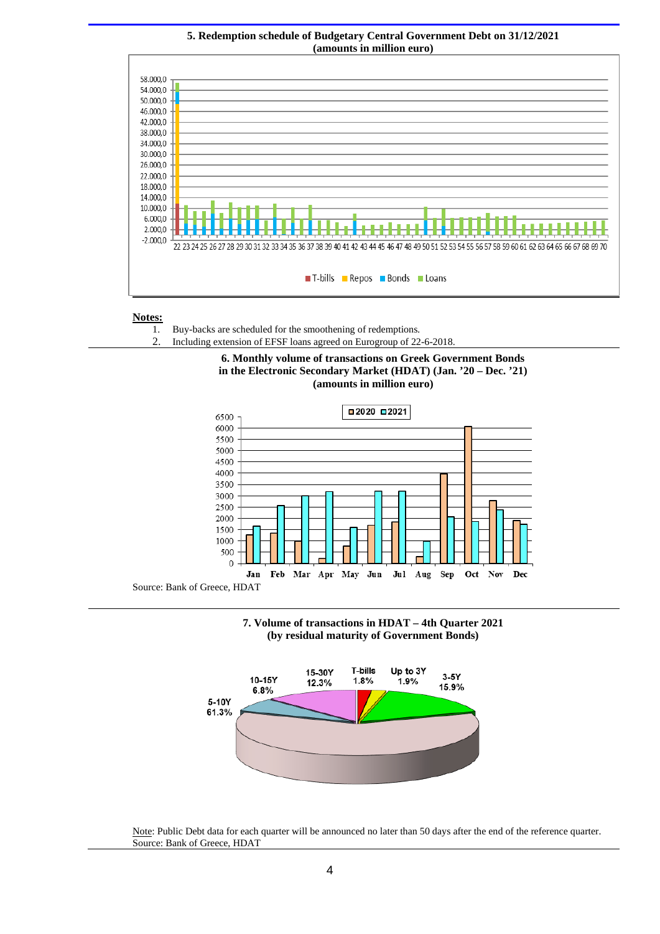

# **5. Redemption schedule of Budgetary Central Government Debt on 31/12/2021**

### **Notes:**

- 1. Buy-backs are scheduled for the smoothening of redemptions*.*
- 2. Including extension of EFSF loans agreed on Eurogroup of 22-6-2018.





Source: Bank of Greece, HDAT





Note: Public Debt data for each quarter will be announced no later than 50 days after the end of the reference quarter. Source: Bank of Greece, HDAT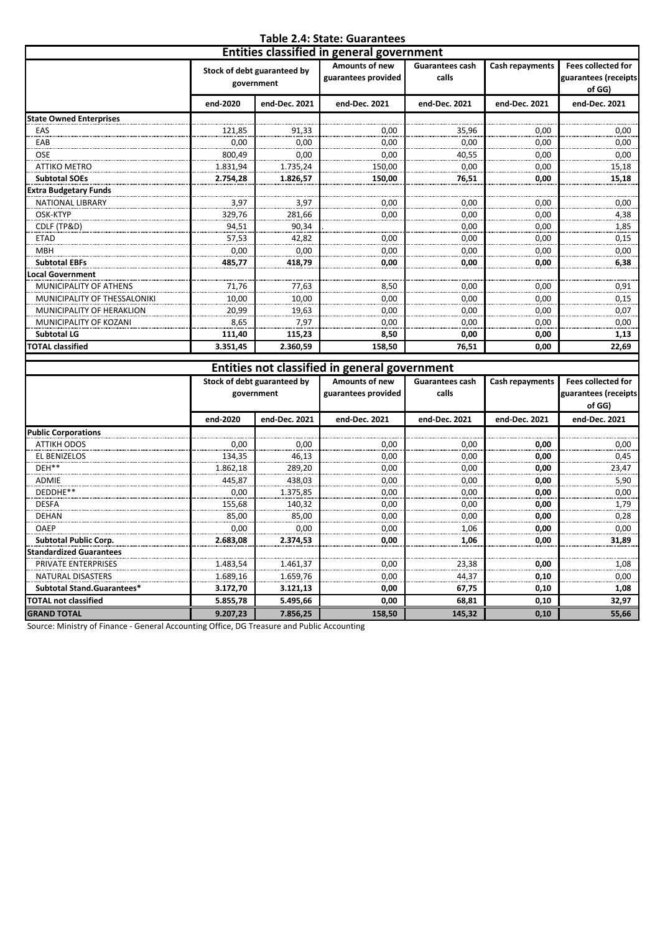# **Table 2.4: State: Guarantees**

|                                | <b>Entities classified in general government</b> |                                                                  |                                               |                                 |                 |                                                             |  |  |
|--------------------------------|--------------------------------------------------|------------------------------------------------------------------|-----------------------------------------------|---------------------------------|-----------------|-------------------------------------------------------------|--|--|
|                                |                                                  | Stock of debt guaranteed by<br>guarantees provided<br>government |                                               | <b>Guarantees cash</b><br>calls | Cash repayments | <b>Fees collected for</b><br>guarantees (receipts<br>of GG) |  |  |
|                                | end-2020                                         | end-Dec. 2021                                                    | end-Dec. 2021                                 | end-Dec. 2021                   | end-Dec. 2021   | end-Dec. 2021                                               |  |  |
| <b>State Owned Enterprises</b> |                                                  |                                                                  |                                               |                                 |                 |                                                             |  |  |
| EAS                            | 121,85                                           | 91,33                                                            | 0,00                                          | 35,96                           | 0,00            | 0,00                                                        |  |  |
| EAB                            | 0.00                                             | 0.00                                                             | 0,00                                          | 0,00                            | 0,00            | 0,00                                                        |  |  |
| <b>OSE</b>                     | 800.49                                           | 0.00                                                             | 0.00                                          | 40,55                           | 0,00            | 0,00                                                        |  |  |
| <b>ATTIKO METRO</b>            | 1.831.94                                         | 1.735,24                                                         | 150,00                                        | 0,00                            | 0,00            | 15,18                                                       |  |  |
| <b>Subtotal SOEs</b>           | 2.754,28                                         | 1.826,57                                                         | 150,00                                        | 76,51                           | 0,00            | 15,18                                                       |  |  |
| <b>Extra Budgetary Funds</b>   |                                                  |                                                                  |                                               |                                 |                 |                                                             |  |  |
| <b>NATIONAL LIBRARY</b>        | 3,97                                             | 3,97                                                             | 0,00                                          | 0.00                            | 0.00            | 0,00                                                        |  |  |
| OSK-KTYP                       | 329,76                                           | 281,66                                                           | 0,00                                          | 0,00                            | 0,00            | 4,38                                                        |  |  |
| CDLF (TP&D)                    | 94,51                                            | 90,34                                                            |                                               | 0,00                            | 0,00            | 1,85                                                        |  |  |
| <b>ETAD</b>                    | 57,53                                            | 42,82                                                            | 0,00                                          | 0,00                            | 0,00            | 0,15                                                        |  |  |
| <b>MBH</b>                     | 0,00                                             | 0.00                                                             | 0,00                                          | 0,00                            | 0,00            | 0,00                                                        |  |  |
| <b>Subtotal EBFs</b>           | 485,77                                           | 418,79                                                           | 0,00                                          | 0,00                            | 0,00            | 6,38                                                        |  |  |
| ocal Government.               |                                                  |                                                                  |                                               |                                 |                 |                                                             |  |  |
| <b>MUNICIPALITY OF ATHENS</b>  | 71,76                                            | 77,63                                                            | 8,50                                          | 0,00                            | 0,00            | 0,91                                                        |  |  |
| MUNICIPALITY OF THESSALONIKI   | 10.00                                            | 10.00                                                            | 0,00                                          | 0,00                            | 0.00            | 0,15                                                        |  |  |
| MUNICIPALITY OF HERAKLION      | 20.99                                            | 19.63                                                            | 0,00                                          | 0.00                            | 0,00            | 0,07                                                        |  |  |
| MUNICIPALITY OF KOZANI         | 8,65                                             | 7,97                                                             | 0,00                                          | 0,00                            | 0,00            | 0,00                                                        |  |  |
| <b>Subtotal LG</b>             | 111,40                                           | 115,23                                                           | 8,50                                          | 0,00                            | 0,00            | 1,13                                                        |  |  |
| <b>TOTAL classified</b>        | 3.351,45                                         | 2.360,59                                                         | 158,50                                        | 76,51                           | 0,00            | 22,69                                                       |  |  |
|                                |                                                  |                                                                  | Entities not classified in general government |                                 |                 |                                                             |  |  |

| Entities not classified in general government |          |                             |                     |                        |                 |                           |  |  |  |
|-----------------------------------------------|----------|-----------------------------|---------------------|------------------------|-----------------|---------------------------|--|--|--|
|                                               |          | Stock of debt guaranteed by | Amounts of new      | <b>Guarantees cash</b> | Cash repayments | <b>Fees collected for</b> |  |  |  |
|                                               |          | government                  | guarantees provided | calls                  |                 | guarantees (receipts      |  |  |  |
|                                               |          |                             |                     |                        |                 | of GG)                    |  |  |  |
|                                               | end-2020 | end-Dec. 2021               | end-Dec. 2021       | end-Dec. 2021          | end-Dec. 2021   | end-Dec. 2021             |  |  |  |
| <b>Public Corporations</b>                    |          |                             |                     |                        |                 |                           |  |  |  |
| <b>ATTIKH ODOS</b>                            | 0,00     | 0,00                        | 0,00                | 0,00                   | 0,00            | 0,00                      |  |  |  |
| EL BENIZELOS                                  | 134,35   | 46,13                       | 0,00                | 0,00                   | 0,00            | 0,45                      |  |  |  |
| DEH**                                         | 1.862,18 | 289,20                      | 0,00                | 0,00                   | 0,00            | 23,47                     |  |  |  |
| ADMIE                                         | 445,87   | 438,03                      | 0,00                | 0,00                   | 0,00            | 5,90                      |  |  |  |
| DEDDHE**                                      | 0,00     | 1.375,85                    | 0,00                | 0,00                   | 0,00            | 0,00                      |  |  |  |
| <b>DESFA</b>                                  | 155,68   | 140,32                      | 0,00                | 0,00                   | 0,00            | 1,79                      |  |  |  |
| <b>DEHAN</b>                                  | 85,00    | 85,00                       | 0,00                | 0,00                   | 0,00            | 0,28                      |  |  |  |
| <b>OAEP</b>                                   | 0,00     | 0,00                        | 0,00                | 1,06                   | 0,00            | 0,00                      |  |  |  |
| <b>Subtotal Public Corp.</b>                  | 2.683,08 | 2.374,53                    | 0,00                | 1,06                   | 0.00            | 31,89                     |  |  |  |
| <b>Standardized Guarantees</b>                |          |                             |                     |                        |                 |                           |  |  |  |
| PRIVATE ENTERPRISES                           | 1.483,54 | 1.461,37                    | 0,00                | 23,38                  | 0,00            | 1,08                      |  |  |  |
| NATURAL DISASTERS                             | 1.689,16 | 1.659,76                    | 0,00                | 44,37                  | 0,10            | 0,00                      |  |  |  |
| Subtotal Stand.Guarantees*                    | 3.172,70 | 3.121,13                    | 0,00                | 67,75                  | 0,10            | 1,08                      |  |  |  |
| <b>TOTAL not classified</b>                   | 5.855,78 | 5.495,66                    | 0,00                | 68,81                  | 0,10            | 32,97                     |  |  |  |
| <b>GRAND TOTAL</b>                            | 9.207,23 | 7.856,25                    | 158,50              | 145,32                 | 0,10            | 55,66                     |  |  |  |

Source: Ministry of Finance - General Accounting Office, DG Treasure and Public Accounting